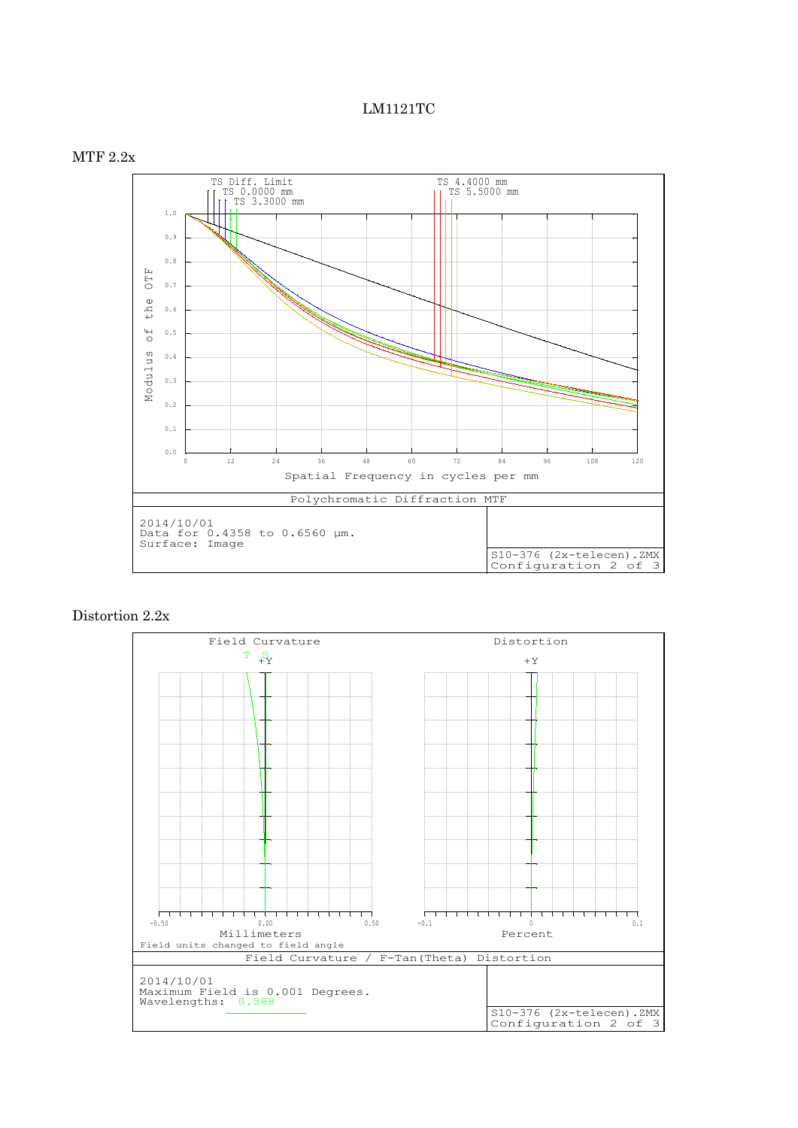## LM1121TC



## Distortion 2.2x

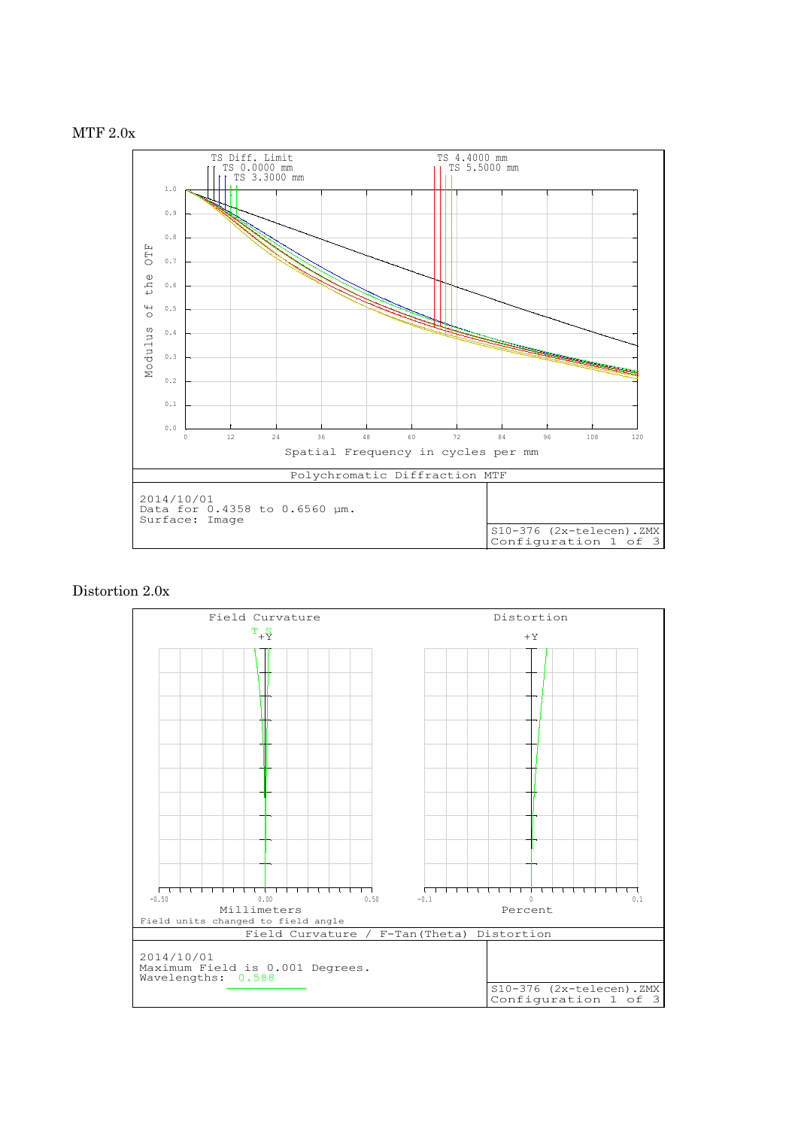



## Distortion 2.0x